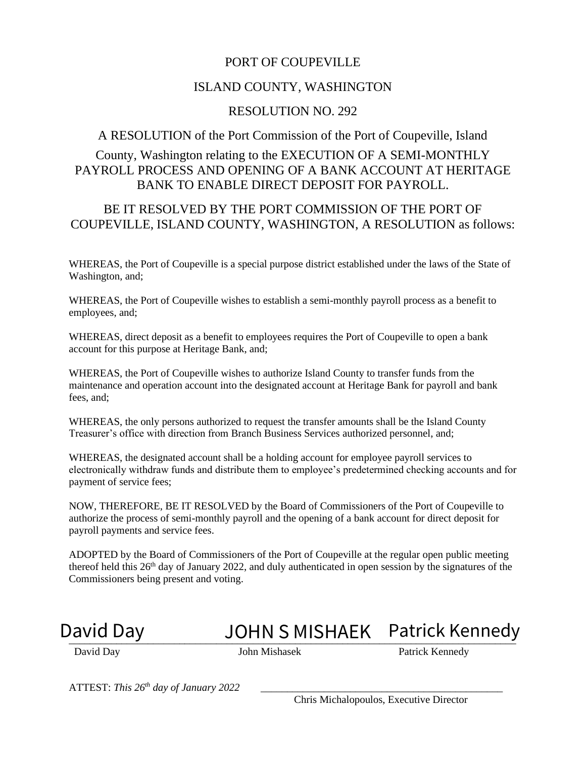#### PORT OF COUPEVILLE

#### ISLAND COUNTY, WASHINGTON

#### RESOLUTION NO. 292

#### A RESOLUTION of the Port Commission of the Port of Coupeville, Island

#### County, Washington relating to the EXECUTION OF A SEMI-MONTHLY PAYROLL PROCESS AND OPENING OF A BANK ACCOUNT AT HERITAGE BANK TO ENABLE DIRECT DEPOSIT FOR PAYROLL.

#### BE IT RESOLVED BY THE PORT COMMISSION OF THE PORT OF COUPEVILLE, ISLAND COUNTY, WASHINGTON, A RESOLUTION as follows:

WHEREAS, the Port of Coupeville is a special purpose district established under the laws of the State of Washington, and;

WHEREAS, the Port of Coupeville wishes to establish a semi-monthly payroll process as a benefit to employees, and;

WHEREAS, direct deposit as a benefit to employees requires the Port of Coupeville to open a bank account for this purpose at Heritage Bank, and;

WHEREAS, the Port of Coupeville wishes to authorize Island County to transfer funds from the maintenance and operation account into the designated account at Heritage Bank for payroll and bank fees, and;

WHEREAS, the only persons authorized to request the transfer amounts shall be the Island County Treasurer's office with direction from Branch Business Services authorized personnel, and;

WHEREAS, the designated account shall be a holding account for employee payroll services to electronically withdraw funds and distribute them to employee's predetermined checking accounts and for payment of service fees;

NOW, THEREFORE, BE IT RESOLVED by the Board of Commissioners of the Port of Coupeville to authorize the process of semi-monthly payroll and the opening of a bank account for direct deposit for payroll payments and service fees.

ADOPTED by the Board of Commissioners of the Port of Coupeville at the regular open public meeting thereof held this 26<sup>th</sup> day of January 2022, and duly authenticated in open session by the signatures of the Commissioners being present and voting.

## David Day **JOHN S MISHAEK** Patrick Kennedy

David Day John Mishasek Patrick Kennedy

ATTEST: *This 26th day of January 2022* \_\_\_\_\_\_\_\_\_\_\_\_\_\_\_\_\_\_\_\_\_\_\_\_\_\_\_\_\_\_\_\_\_\_\_\_\_\_\_\_\_\_\_\_\_\_

Chris Michalopoulos, Executive Director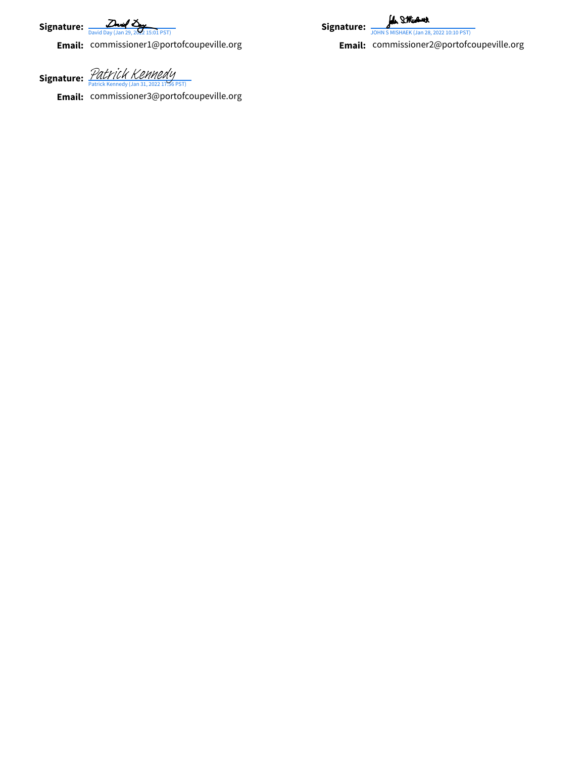Signature: 2007

**Email:** commissioner1@portofcoupeville.org

Signature: *[Patrick Kennedy](https://na3.documents.adobe.com/verifier?tx=CBJCHBCAABAARyxScGXVAPu20xbSRtWK5Hlsfgzf8xj7)*<br>Patrick Kennedy (Jan 31, 2022 17:56 PST)

**Email:** commissioner 3@portofcoupeville.org

for SMissour Signature:  $\frac{2}{JOMNS}$ 



[David Day \(Jan 29, 2022 15:01 PST\)](https://na3.documents.adobe.com/verifier?tx=CBJCHBCAABAARyxScGXVAPu20xbSRtWK5Hlsfgzf8xj7)<br>
commissioner1@portofcoupeville.org<br> **Email:** Commissioner2@portofcoupeville.org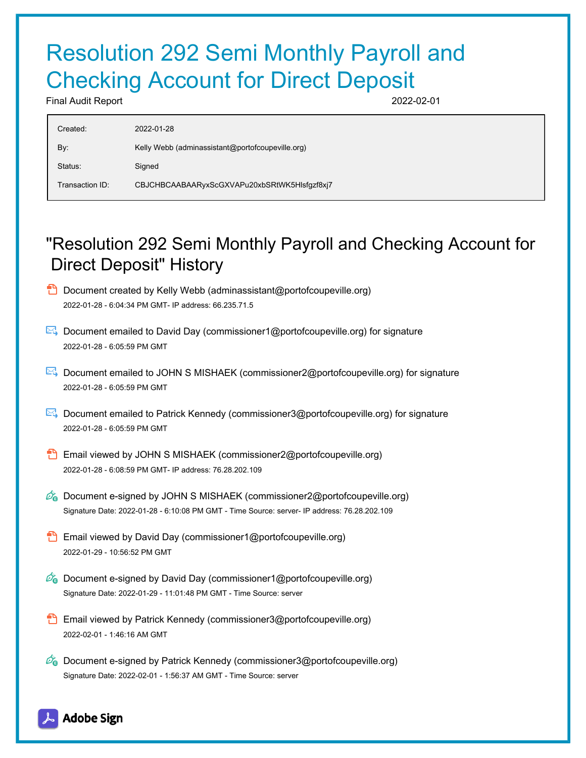# Resolution 292 Semi Monthly Payroll and Checking Account for Direct Deposit

Final Audit Report 2022-02-01

| Created:        | 2022-01-28                                       |
|-----------------|--------------------------------------------------|
| By:             | Kelly Webb (adminassistant@portofcoupeville.org) |
| Status:         | Signed                                           |
| Transaction ID: | CBJCHBCAABAARyxScGXVAPu20xbSRtWK5Hlsfgzf8xj7     |
|                 |                                                  |

### "Resolution 292 Semi Monthly Payroll and Checking Account for Direct Deposit" History

- **D** Document created by Kelly Webb (adminassistant@portofcoupeville.org) 2022-01-28 - 6:04:34 PM GMT- IP address: 66.235.71.5
- Document emailed to David Day (commissioner1@portofcoupeville.org) for signature 2022-01-28 - 6:05:59 PM GMT
- Document emailed to JOHN S MISHAEK (commissioner2@portofcoupeville.org) for signature 2022-01-28 - 6:05:59 PM GMT
- Document emailed to Patrick Kennedy (commissioner3@portofcoupeville.org) for signature 2022-01-28 - 6:05:59 PM GMT
- Email viewed by JOHN S MISHAEK (commissioner2@portofcoupeville.org) 2022-01-28 - 6:08:59 PM GMT- IP address: 76.28.202.109
- $\mathscr{O}_\bullet$  Document e-signed by JOHN S MISHAEK (commissioner2@portofcoupeville.org) Signature Date: 2022-01-28 - 6:10:08 PM GMT - Time Source: server- IP address: 76.28.202.109
- **Email viewed by David Day (commissioner1@portofcoupeville.org)** 2022-01-29 - 10:56:52 PM GMT
- $\mathscr{O}_0$  Document e-signed by David Day (commissioner1@portofcoupeville.org) Signature Date: 2022-01-29 - 11:01:48 PM GMT - Time Source: server
- Email viewed by Patrick Kennedy (commissioner3@portofcoupeville.org) 2022-02-01 - 1:46:16 AM GMT
- $\mathscr{D}_{\mathbf{G}}$  Document e-signed by Patrick Kennedy (commissioner3@portofcoupeville.org) Signature Date: 2022-02-01 - 1:56:37 AM GMT - Time Source: server